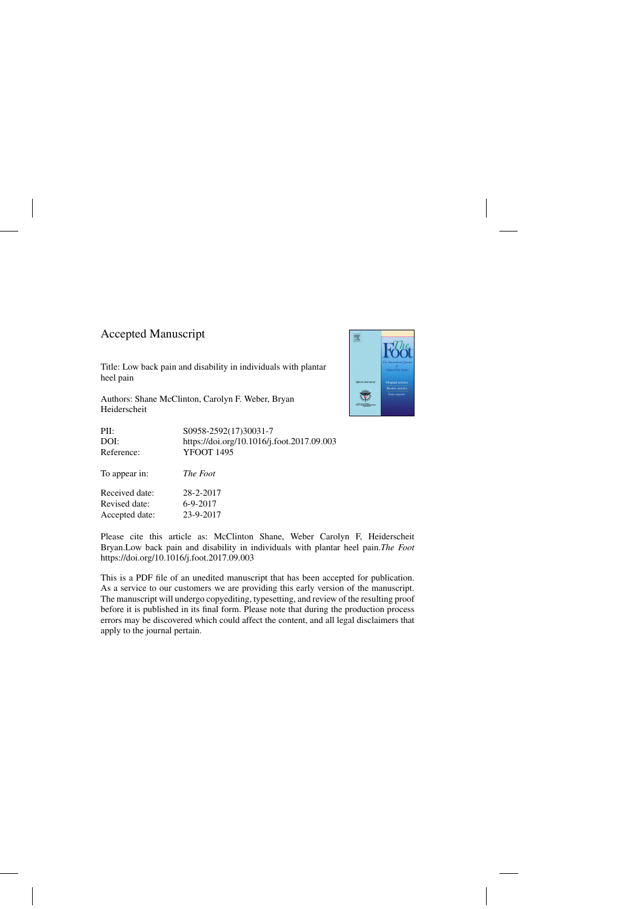## Accepted Manuscript

Received date: 28-2-2017 Revised date: 6-9-2017 Accepted date: 23-9-2017

Title: Low back pain and disability in individuals with plantar heel pain

Authors: Shane McClinton, Carolyn F. Weber, Bryan Heiderscheit



Please cite this article as: McClinton Shane, Weber Carolyn F, Heiderscheit Bryan.Low back pain and disability in individuals with plantar heel pain.*The Foot* <https://doi.org/10.1016/j.foot.2017.09.003>

This is a PDF file of an unedited manuscript that has been accepted for publication. As a service to our customers we are providing this early version of the manuscript. The manuscript will undergo copyediting, typesetting, and review of the resulting proof before it is published in its final form. Please note that during the production process errors may be discovered which could affect the content, and all legal disclaimers that apply to the journal pertain.

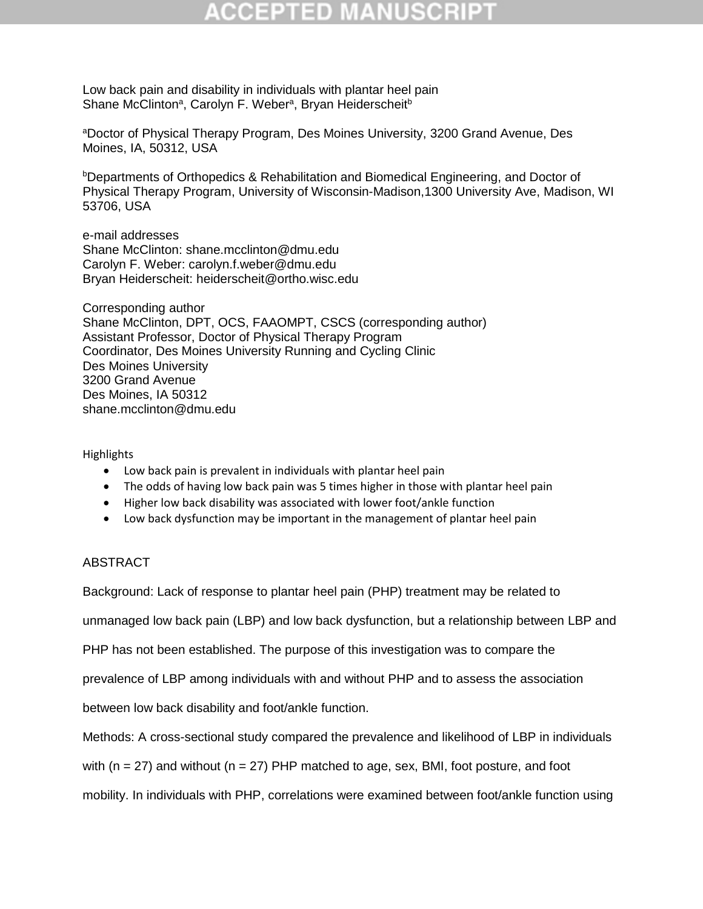Low back pain and disability in individuals with plantar heel pain Shane McClinton<sup>a</sup>, Carolyn F. Weber<sup>a</sup>, Bryan Heiderscheit<sup>b</sup>

<sup>a</sup>Doctor of Physical Therapy Program, Des Moines University, 3200 Grand Avenue, Des Moines, IA, 50312, USA

<sup>b</sup>Departments of Orthopedics & Rehabilitation and Biomedical Engineering, and Doctor of Physical Therapy Program, University of Wisconsin-Madison,1300 University Ave, Madison, WI 53706, USA

e-mail addresses Shane McClinton: [shane.mcclinton@dmu.edu](mailto:shane.mcclinton@dmu.edu) Carolyn F. Weber: [carolyn.f.weber@dmu.edu](mailto:carolyn.f.weber@dmu.edu) Bryan Heiderscheit: [heiderscheit@ortho.wisc.edu](mailto:heiderscheit@ortho.wisc.edu)

Corresponding author Shane McClinton, DPT, OCS, FAAOMPT, CSCS (corresponding author) Assistant Professor, Doctor of Physical Therapy Program Coordinator, Des Moines University Running and Cycling Clinic Des Moines University 3200 Grand Avenue Des Moines, IA 50312 [shane.mcclinton@dmu.edu](mailto:shane.mcclinton@dmu.edu)

Highlights

- Low back pain is prevalent in individuals with plantar heel pain
- The odds of having low back pain was 5 times higher in those with plantar heel pain
- Higher low back disability was associated with lower foot/ankle function
- Low back dysfunction may be important in the management of plantar heel pain

## ABSTRACT

Background: Lack of response to plantar heel pain (PHP) treatment may be related to

unmanaged low back pain (LBP) and low back dysfunction, but a relationship between LBP and

PHP has not been established. The purpose of this investigation was to compare the

prevalence of LBP among individuals with and without PHP and to assess the association

between low back disability and foot/ankle function.

Methods: A cross-sectional study compared the prevalence and likelihood of LBP in individuals

with ( $n = 27$ ) and without ( $n = 27$ ) PHP matched to age, sex, BMI, foot posture, and foot

mobility. In individuals with PHP, correlations were examined between foot/ankle function using